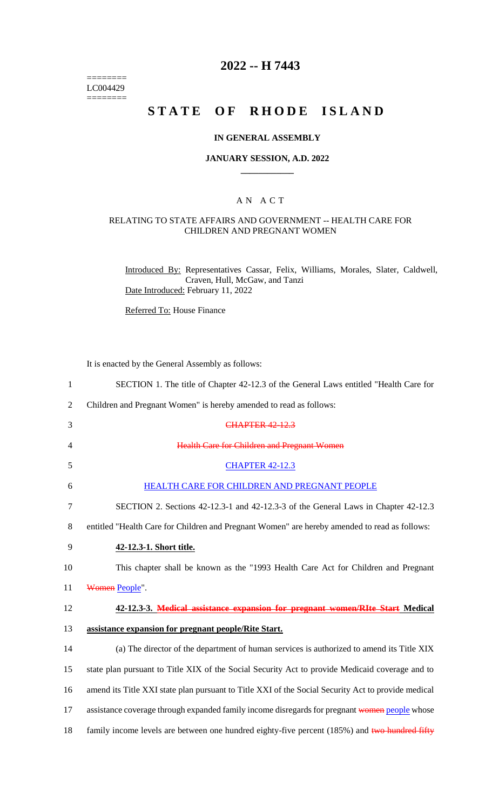======== LC004429  $=$ 

# **2022 -- H 7443**

# **STATE OF RHODE ISLAND**

#### **IN GENERAL ASSEMBLY**

#### **JANUARY SESSION, A.D. 2022 \_\_\_\_\_\_\_\_\_\_\_\_**

### A N A C T

#### RELATING TO STATE AFFAIRS AND GOVERNMENT -- HEALTH CARE FOR CHILDREN AND PREGNANT WOMEN

Introduced By: Representatives Cassar, Felix, Williams, Morales, Slater, Caldwell, Craven, Hull, McGaw, and Tanzi Date Introduced: February 11, 2022

Referred To: House Finance

It is enacted by the General Assembly as follows:

| $\mathbf{1}$   | SECTION 1. The title of Chapter 42-12.3 of the General Laws entitled "Health Care for              |
|----------------|----------------------------------------------------------------------------------------------------|
| $\overline{2}$ | Children and Pregnant Women" is hereby amended to read as follows:                                 |
| 3              | <b>CHAPTER 42-12.3</b>                                                                             |
| 4              | <b>Health Care for Children and Pregnant Women</b>                                                 |
| 5              | <b>CHAPTER 42-12.3</b>                                                                             |
| 6              | HEALTH CARE FOR CHILDREN AND PREGNANT PEOPLE                                                       |
| $\tau$         | SECTION 2. Sections 42-12.3-1 and 42-12.3-3 of the General Laws in Chapter 42-12.3                 |
| 8              | entitled "Health Care for Children and Pregnant Women" are hereby amended to read as follows:      |
| 9              | 42-12.3-1. Short title.                                                                            |
| 10             | This chapter shall be known as the "1993 Health Care Act for Children and Pregnant                 |
| 11             | Women People".                                                                                     |
| 12             | 42-12.3-3. Medical assistance expansion for pregnant women/RIte Start Medical                      |
| 13             | assistance expansion for pregnant people/Rite Start.                                               |
| 14             | (a) The director of the department of human services is authorized to amend its Title XIX          |
| 15             | state plan pursuant to Title XIX of the Social Security Act to provide Medicaid coverage and to    |
| 16             | amend its Title XXI state plan pursuant to Title XXI of the Social Security Act to provide medical |
| 17             | assistance coverage through expanded family income disregards for pregnant women people whose      |
| 18             | family income levels are between one hundred eighty-five percent (185%) and two hundred fifty      |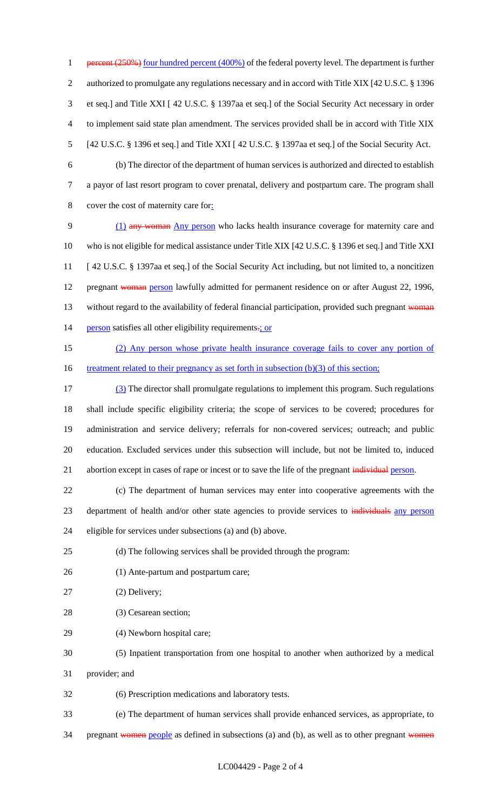1 percent (250%) four hundred percent (400%) of the federal poverty level. The department is further authorized to promulgate any regulations necessary and in accord with Title XIX [42 U.S.C. § 1396 et seq.] and Title XXI [ 42 U.S.C. § 1397aa et seq.] of the Social Security Act necessary in order to implement said state plan amendment. The services provided shall be in accord with Title XIX [42 U.S.C. § 1396 et seq.] and Title XXI [ 42 U.S.C. § 1397aa et seq.] of the Social Security Act.

 (b) The director of the department of human services is authorized and directed to establish a payor of last resort program to cover prenatal, delivery and postpartum care. The program shall cover the cost of maternity care for:

 (1) any woman Any person who lacks health insurance coverage for maternity care and who is not eligible for medical assistance under Title XIX [42 U.S.C. § 1396 et seq.] and Title XXI [ 42 U.S.C. § 1397aa et seq.] of the Social Security Act including, but not limited to, a noncitizen 12 pregnant woman person lawfully admitted for permanent residence on or after August 22, 1996, 13 without regard to the availability of federal financial participation, provided such pregnant woman 14 person satisfies all other eligibility requirements-; or

 (2) Any person whose private health insurance coverage fails to cover any portion of 16 treatment related to their pregnancy as set forth in subsection (b)(3) of this section;

 (3) The director shall promulgate regulations to implement this program. Such regulations shall include specific eligibility criteria; the scope of services to be covered; procedures for administration and service delivery; referrals for non-covered services; outreach; and public education. Excluded services under this subsection will include, but not be limited to, induced 21 abortion except in cases of rape or incest or to save the life of the pregnant individual person.

 (c) The department of human services may enter into cooperative agreements with the 23 department of health and/or other state agencies to provide services to individuals any person eligible for services under subsections (a) and (b) above.

(d) The following services shall be provided through the program:

- (1) Ante-partum and postpartum care;
- (2) Delivery;
- (3) Cesarean section;
- (4) Newborn hospital care;
- (5) Inpatient transportation from one hospital to another when authorized by a medical
- provider; and

(6) Prescription medications and laboratory tests.

(e) The department of human services shall provide enhanced services, as appropriate, to

34 pregnant women people as defined in subsections (a) and (b), as well as to other pregnant women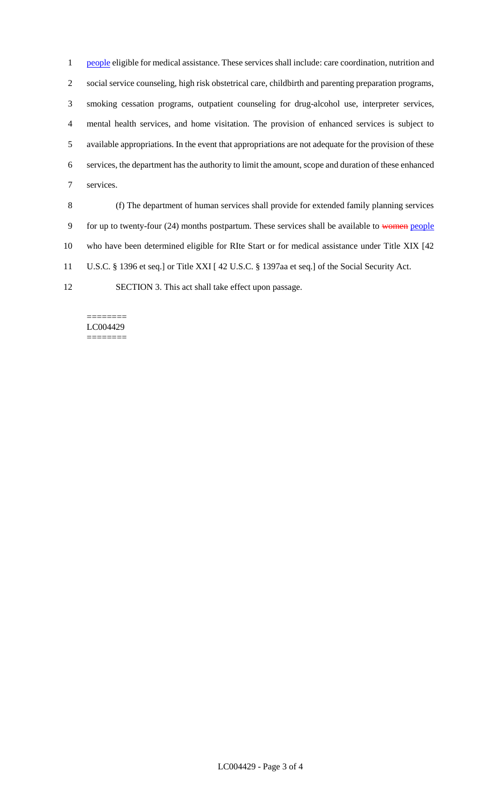1 people eligible for medical assistance. These services shall include: care coordination, nutrition and social service counseling, high risk obstetrical care, childbirth and parenting preparation programs, smoking cessation programs, outpatient counseling for drug-alcohol use, interpreter services, mental health services, and home visitation. The provision of enhanced services is subject to available appropriations. In the event that appropriations are not adequate for the provision of these services, the department has the authority to limit the amount, scope and duration of these enhanced services.

 (f) The department of human services shall provide for extended family planning services 9 for up to twenty-four (24) months postpartum. These services shall be available to women people who have been determined eligible for RIte Start or for medical assistance under Title XIX [42 U.S.C. § 1396 et seq.] or Title XXI [ 42 U.S.C. § 1397aa et seq.] of the Social Security Act.

SECTION 3. This act shall take effect upon passage.

======== LC004429 ========